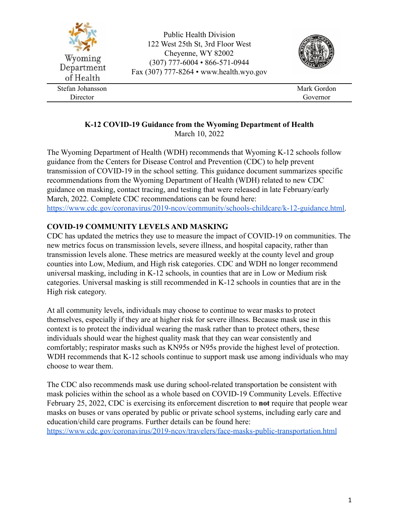

# **K-12 COVID-19 Guidance from the Wyoming Department of Health**

March 10, 2022

The Wyoming Department of Health (WDH) recommends that Wyoming K-12 schools follow guidance from the Centers for Disease Control and Prevention (CDC) to help prevent transmission of COVID-19 in the school setting. This guidance document summarizes specific recommendations from the Wyoming Department of Health (WDH) related to new CDC guidance on masking, contact tracing, and testing that were released in late February/early March, 2022. Complete CDC recommendations can be found here: [https://www.cdc.gov/coronavirus/2019-ncov/community/schools-childcare/k-12-guidance.html.](https://www.cdc.gov/coronavirus/2019-ncov/community/schools-childcare/k-12-guidance.html)

## **COVID-19 COMMUNITY LEVELS AND MASKING**

CDC has updated the metrics they use to measure the impact of COVID-19 on communities. The new metrics focus on transmission levels, severe illness, and hospital capacity, rather than transmission levels alone. These metrics are measured weekly at the county level and group counties into Low, Medium, and High risk categories. CDC and WDH no longer recommend universal masking, including in K-12 schools, in counties that are in Low or Medium risk categories. Universal masking is still recommended in K-12 schools in counties that are in the High risk category.

At all community levels, individuals may choose to continue to wear masks to protect themselves, especially if they are at higher risk for severe illness. Because mask use in this context is to protect the individual wearing the mask rather than to protect others, these individuals should wear the highest quality mask that they can wear consistently and comfortably; respirator masks such as KN95s or N95s provide the highest level of protection. WDH recommends that K-12 schools continue to support mask use among individuals who may choose to wear them.

The CDC also recommends mask use during school-related transportation be consistent with mask policies within the school as a whole based on COVID-19 Community Levels. Effective February 25, 2022, CDC is exercising its enforcement discretion to **not** require that people wear masks on buses or vans operated by public or private school systems, including early care and education/child care programs. Further details can be found here: <https://www.cdc.gov/coronavirus/2019-ncov/travelers/face-masks-public-transportation.html>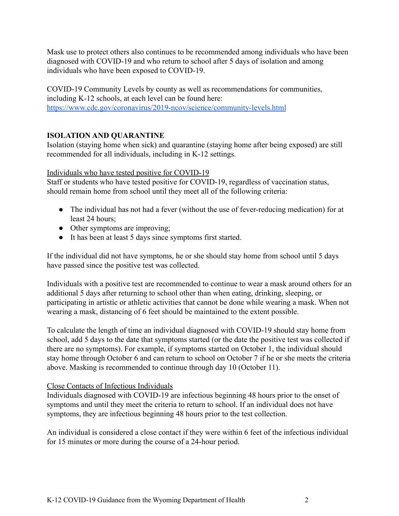Mask use to protect others also continues to be recommended among individuals who have been diagnosed with COVID-19 and who return to school after 5 days of isolation and among individuals who have been exposed to COVID-19.

COVID-19 Community Levels by county as well as recommendations for communities, including K-12 schools, at each level can be found here: <https://www.cdc.gov/coronavirus/2019-ncov/science/community-levels.html>

### **ISOLATION AND QUARANTINE**

Isolation (staying home when sick) and quarantine (staying home after being exposed) are still recommended for all individuals, including in K-12 settings.

Individuals who have tested positive for COVID-19

Staff or students who have tested positive for COVID-19, regardless of vaccination status, should remain home from school until they meet all of the following criteria:

- The individual has not had a fever (without the use of fever-reducing medication) for at least 24 hours;
- Other symptoms are improving;
- It has been at least 5 days since symptoms first started.

If the individual did not have symptoms, he or she should stay home from school until 5 days have passed since the positive test was collected.

Individuals with a positive test are recommended to continue to wear a mask around others for an additional 5 days after returning to school other than when eating, drinking, sleeping, or participating in artistic or athletic activities that cannot be done while wearing a mask. When not wearing a mask, distancing of 6 feet should be maintained to the extent possible.

To calculate the length of time an individual diagnosed with COVID-19 should stay home from school, add 5 days to the date that symptoms started (or the date the positive test was collected if there are no symptoms). For example, if symptoms started on October 1, the individual should stay home through October 6 and can return to school on October 7 if he or she meets the criteria above. Masking is recommended to continue through day 10 (October 11).

### Close Contacts of Infectious Individuals

Individuals diagnosed with COVID-19 are infectious beginning 48 hours prior to the onset of symptoms and until they meet the criteria to return to school. If an individual does not have symptoms, they are infectious beginning 48 hours prior to the test collection.

An individual is considered a close contact if they were within 6 feet of the infectious individual for 15 minutes or more during the course of a 24-hour period.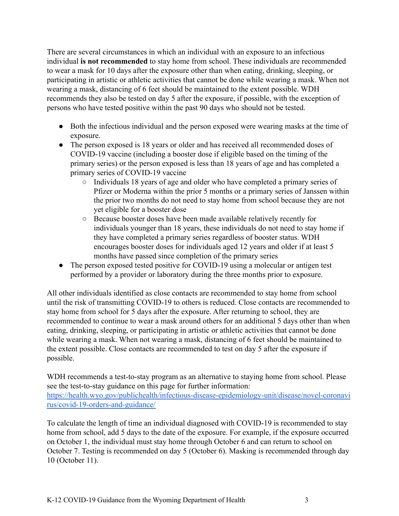There are several circumstances in which an individual with an exposure to an infectious individual **is not recommended** to stay home from school. These individuals are recommended to wear a mask for 10 days after the exposure other than when eating, drinking, sleeping, or participating in artistic or athletic activities that cannot be done while wearing a mask. When not wearing a mask, distancing of 6 feet should be maintained to the extent possible. WDH recommends they also be tested on day 5 after the exposure, if possible, with the exception of persons who have tested positive within the past 90 days who should not be tested.

- Both the infectious individual and the person exposed were wearing masks at the time of exposure.
- The person exposed is 18 years or older and has received all recommended doses of COVID-19 vaccine (including a booster dose if eligible based on the timing of the primary series) or the person exposed is less than 18 years of age and has completed a primary series of COVID-19 vaccine
	- Individuals 18 years of age and older who have completed a primary series of Pfizer or Moderna within the prior 5 months or a primary series of Janssen within the prior two months do not need to stay home from school because they are not yet eligible for a booster dose
	- Because booster doses have been made available relatively recently for individuals younger than 18 years, these individuals do not need to stay home if they have completed a primary series regardless of booster status. WDH encourages booster doses for individuals aged 12 years and older if at least 5 months have passed since completion of the primary series
- The person exposed tested positive for COVID-19 using a molecular or antigen test performed by a provider or laboratory during the three months prior to exposure.

All other individuals identified as close contacts are recommended to stay home from school until the risk of transmitting COVID-19 to others is reduced. Close contacts are recommended to stay home from school for 5 days after the exposure. After returning to school, they are recommended to continue to wear a mask around others for an additional 5 days other than when eating, drinking, sleeping, or participating in artistic or athletic activities that cannot be done while wearing a mask. When not wearing a mask, distancing of 6 feet should be maintained to the extent possible. Close contacts are recommended to test on day 5 after the exposure if possible.

WDH recommends a test-to-stay program as an alternative to staying home from school. Please see the test-to-stay guidance on this page for further information: [https://health.wyo.gov/publichealth/infectious-disease-epidemiology-unit/disease/novel-coronavi](https://health.wyo.gov/publichealth/infectious-disease-epidemiology-unit/disease/novel-coronavirus/covid-19-orders-and-guidance/) [rus/covid-19-orders-and-guidance/](https://health.wyo.gov/publichealth/infectious-disease-epidemiology-unit/disease/novel-coronavirus/covid-19-orders-and-guidance/)

To calculate the length of time an individual diagnosed with COVID-19 is recommended to stay home from school, add 5 days to the date of the exposure. For example, if the exposure occurred on October 1, the individual must stay home through October 6 and can return to school on October 7. Testing is recommended on day 5 (October 6). Masking is recommended through day 10 (October 11).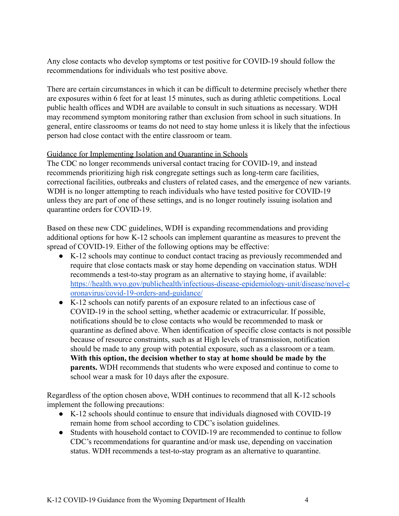Any close contacts who develop symptoms or test positive for COVID-19 should follow the recommendations for individuals who test positive above.

There are certain circumstances in which it can be difficult to determine precisely whether there are exposures within 6 feet for at least 15 minutes, such as during athletic competitions. Local public health offices and WDH are available to consult in such situations as necessary. WDH may recommend symptom monitoring rather than exclusion from school in such situations. In general, entire classrooms or teams do not need to stay home unless it is likely that the infectious person had close contact with the entire classroom or team.

#### Guidance for Implementing Isolation and Quarantine in Schools

The CDC no longer recommends universal contact tracing for COVID-19, and instead recommends prioritizing high risk congregate settings such as long-term care facilities, correctional facilities, outbreaks and clusters of related cases, and the emergence of new variants. WDH is no longer attempting to reach individuals who have tested positive for COVID-19 unless they are part of one of these settings, and is no longer routinely issuing isolation and quarantine orders for COVID-19.

Based on these new CDC guidelines, WDH is expanding recommendations and providing additional options for how K-12 schools can implement quarantine as measures to prevent the spread of COVID-19. Either of the following options may be effective:

- K-12 schools may continue to conduct contact tracing as previously recommended and require that close contacts mask or stay home depending on vaccination status. WDH recommends a test-to-stay program as an alternative to staying home, if available: [https://health.wyo.gov/publichealth/infectious-disease-epidemiology-unit/disease/novel-c](https://health.wyo.gov/publichealth/infectious-disease-epidemiology-unit/disease/novel-coronavirus/covid-19-orders-and-guidance/) [oronavirus/covid-19-orders-and-guidance/](https://health.wyo.gov/publichealth/infectious-disease-epidemiology-unit/disease/novel-coronavirus/covid-19-orders-and-guidance/)
- K-12 schools can notify parents of an exposure related to an infectious case of COVID-19 in the school setting, whether academic or extracurricular. If possible, notifications should be to close contacts who would be recommended to mask or quarantine as defined above. When identification of specific close contacts is not possible because of resource constraints, such as at High levels of transmission, notification should be made to any group with potential exposure, such as a classroom or a team. **With this option, the decision whether to stay at home should be made by the parents.** WDH recommends that students who were exposed and continue to come to school wear a mask for 10 days after the exposure.

Regardless of the option chosen above, WDH continues to recommend that all K-12 schools implement the following precautions:

- K-12 schools should continue to ensure that individuals diagnosed with COVID-19 remain home from school according to CDC's isolation guidelines.
- Students with household contact to COVID-19 are recommended to continue to follow CDC's recommendations for quarantine and/or mask use, depending on vaccination status. WDH recommends a test-to-stay program as an alternative to quarantine.